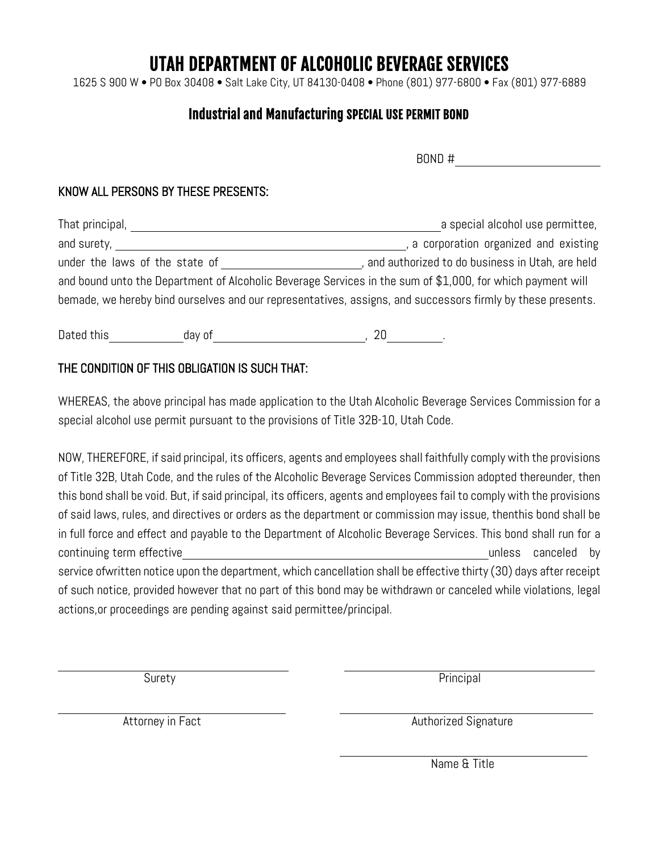# UTAH DEPARTMENT OF ALCOHOLIC BEVERAGE SERVICES

1625 S 900 W • PO Box 30408 • Salt Lake City, UT 84130-0408 • Phone (801) 977-6800 • Fax (801) 977-6889

## Industrial and Manufacturing SPECIAL USE PERMIT BOND

BOND #

#### KNOW ALL PERSONS BY THESE PRESENTS:

| That principal,                                                                                             | a special alcohol use permittee,                |  |
|-------------------------------------------------------------------------------------------------------------|-------------------------------------------------|--|
| and surety,                                                                                                 | a corporation organized and existing            |  |
| under the laws of the state of                                                                              | and authorized to do business in Utah, are held |  |
| and bound unto the Department of Alcoholic Beverage Services in the sum of \$1,000, for which payment will  |                                                 |  |
| bemade, we hereby bind ourselves and our representatives, assigns, and successors firmly by these presents. |                                                 |  |
|                                                                                                             |                                                 |  |

Dated this day of , 20 .

### THE CONDITION OF THIS OBLIGATION IS SUCH THAT:

WHEREAS, the above principal has made application to the Utah Alcoholic Beverage Services Commission for a special alcohol use permit pursuant to the provisions of Title 32B-10, Utah Code.

NOW, THEREFORE, if said principal, its officers, agents and employees shall faithfully comply with the provisions of Title 32B, Utah Code, and the rules of the Alcoholic Beverage Services Commission adopted thereunder, then this bond shall be void. But, if said principal, its officers, agents and employees fail to comply with the provisions of said laws, rules, and directives or orders as the department or commission may issue, thenthis bond shall be in full force and effect and payable to the Department of Alcoholic Beverage Services. This bond shall run for a continuing term effective continuing term effective unless canceled by service ofwritten notice upon the department, which cancellation shall be effective thirty (30) days after receipt of such notice, provided however that no part of this bond may be withdrawn or canceled while violations, legal actions,or proceedings are pending against said permittee/principal.

l

Surety Principal

Attorney in Fact **Authorized Signature** Authorized Signature

Name & Title